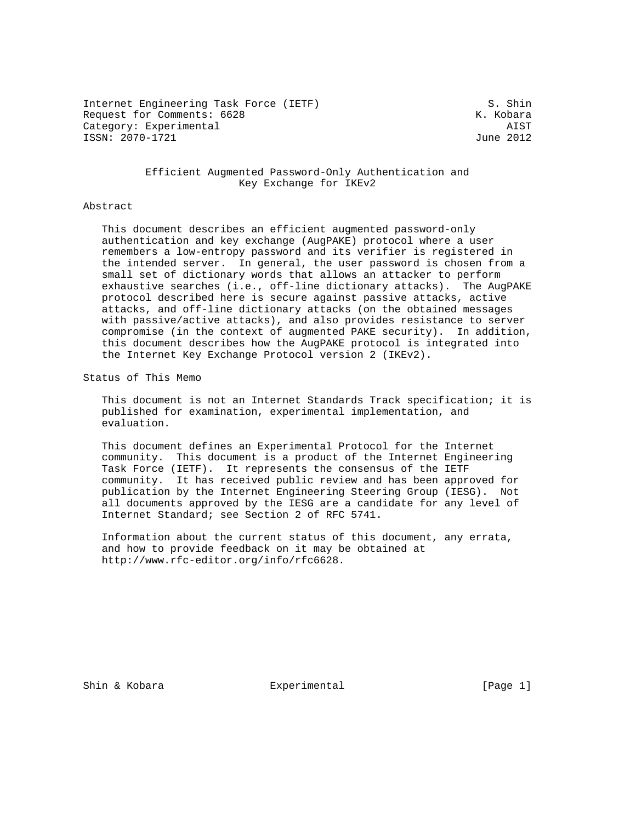Internet Engineering Task Force (IETF) S. Shin Request for Comments: 6628 K. Kobara Category: Experimental AIST ISSN: 2070-1721 June 2012

## Efficient Augmented Password-Only Authentication and Key Exchange for IKEv2

#### Abstract

 This document describes an efficient augmented password-only authentication and key exchange (AugPAKE) protocol where a user remembers a low-entropy password and its verifier is registered in the intended server. In general, the user password is chosen from a small set of dictionary words that allows an attacker to perform exhaustive searches (i.e., off-line dictionary attacks). The AugPAKE protocol described here is secure against passive attacks, active attacks, and off-line dictionary attacks (on the obtained messages with passive/active attacks), and also provides resistance to server compromise (in the context of augmented PAKE security). In addition, this document describes how the AugPAKE protocol is integrated into the Internet Key Exchange Protocol version 2 (IKEv2).

Status of This Memo

 This document is not an Internet Standards Track specification; it is published for examination, experimental implementation, and evaluation.

 This document defines an Experimental Protocol for the Internet community. This document is a product of the Internet Engineering Task Force (IETF). It represents the consensus of the IETF community. It has received public review and has been approved for publication by the Internet Engineering Steering Group (IESG). Not all documents approved by the IESG are a candidate for any level of Internet Standard; see Section 2 of RFC 5741.

 Information about the current status of this document, any errata, and how to provide feedback on it may be obtained at http://www.rfc-editor.org/info/rfc6628.

Shin & Kobara Experimental [Page 1]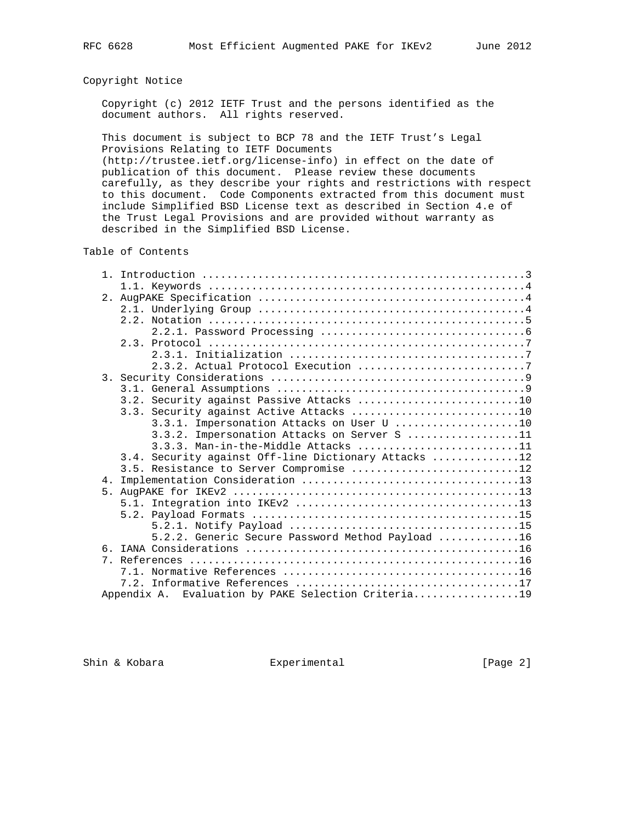## Copyright Notice

 Copyright (c) 2012 IETF Trust and the persons identified as the document authors. All rights reserved.

 This document is subject to BCP 78 and the IETF Trust's Legal Provisions Relating to IETF Documents (http://trustee.ietf.org/license-info) in effect on the date of publication of this document. Please review these documents

 carefully, as they describe your rights and restrictions with respect to this document. Code Components extracted from this document must include Simplified BSD License text as described in Section 4.e of the Trust Legal Provisions and are provided without warranty as described in the Simplified BSD License.

## Table of Contents

|                | 3.2. Security against Passive Attacks 10             |  |
|----------------|------------------------------------------------------|--|
|                | 3.3. Security against Active Attacks 10              |  |
|                | 3.3.1. Impersonation Attacks on User U 10            |  |
|                | 3.3.2. Impersonation Attacks on Server S 11          |  |
|                | $3.3.3.$ Man-in-the-Middle Attacks 11                |  |
|                | 3.4. Security against Off-line Dictionary Attacks 12 |  |
|                | 3.5. Resistance to Server Compromise 12              |  |
| 4 <sub>1</sub> |                                                      |  |
| 5 <sub>1</sub> |                                                      |  |
|                |                                                      |  |
|                |                                                      |  |
|                |                                                      |  |
|                | 5.2.2. Generic Secure Password Method Payload 16     |  |
|                |                                                      |  |
| $7$ .          |                                                      |  |
|                |                                                      |  |
|                |                                                      |  |
|                | Appendix A. Evaluation by PAKE Selection Criteria19  |  |

Shin & Kobara Experimental [Page 2]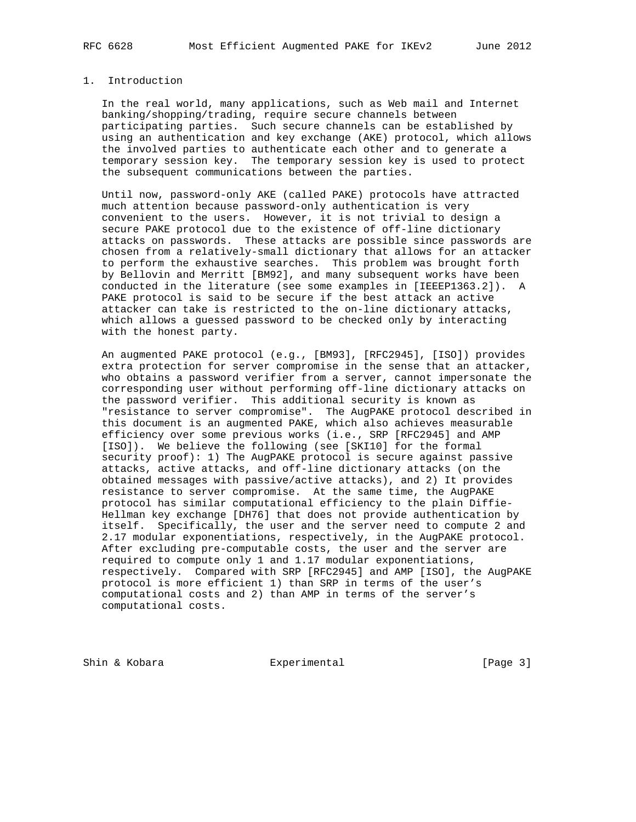## 1. Introduction

 In the real world, many applications, such as Web mail and Internet banking/shopping/trading, require secure channels between participating parties. Such secure channels can be established by using an authentication and key exchange (AKE) protocol, which allows the involved parties to authenticate each other and to generate a temporary session key. The temporary session key is used to protect the subsequent communications between the parties.

 Until now, password-only AKE (called PAKE) protocols have attracted much attention because password-only authentication is very convenient to the users. However, it is not trivial to design a secure PAKE protocol due to the existence of off-line dictionary attacks on passwords. These attacks are possible since passwords are chosen from a relatively-small dictionary that allows for an attacker to perform the exhaustive searches. This problem was brought forth by Bellovin and Merritt [BM92], and many subsequent works have been conducted in the literature (see some examples in [IEEEP1363.2]). A PAKE protocol is said to be secure if the best attack an active attacker can take is restricted to the on-line dictionary attacks, which allows a guessed password to be checked only by interacting with the honest party.

 An augmented PAKE protocol (e.g., [BM93], [RFC2945], [ISO]) provides extra protection for server compromise in the sense that an attacker, who obtains a password verifier from a server, cannot impersonate the corresponding user without performing off-line dictionary attacks on the password verifier. This additional security is known as "resistance to server compromise". The AugPAKE protocol described in this document is an augmented PAKE, which also achieves measurable efficiency over some previous works (i.e., SRP [RFC2945] and AMP [ISO]). We believe the following (see [SKI10] for the formal security proof): 1) The AugPAKE protocol is secure against passive attacks, active attacks, and off-line dictionary attacks (on the obtained messages with passive/active attacks), and 2) It provides resistance to server compromise. At the same time, the AugPAKE protocol has similar computational efficiency to the plain Diffie- Hellman key exchange [DH76] that does not provide authentication by itself. Specifically, the user and the server need to compute 2 and 2.17 modular exponentiations, respectively, in the AugPAKE protocol. After excluding pre-computable costs, the user and the server are required to compute only 1 and 1.17 modular exponentiations, respectively. Compared with SRP [RFC2945] and AMP [ISO], the AugPAKE protocol is more efficient 1) than SRP in terms of the user's computational costs and 2) than AMP in terms of the server's computational costs.

Shin & Kobara **Experimental** Experimental [Page 3]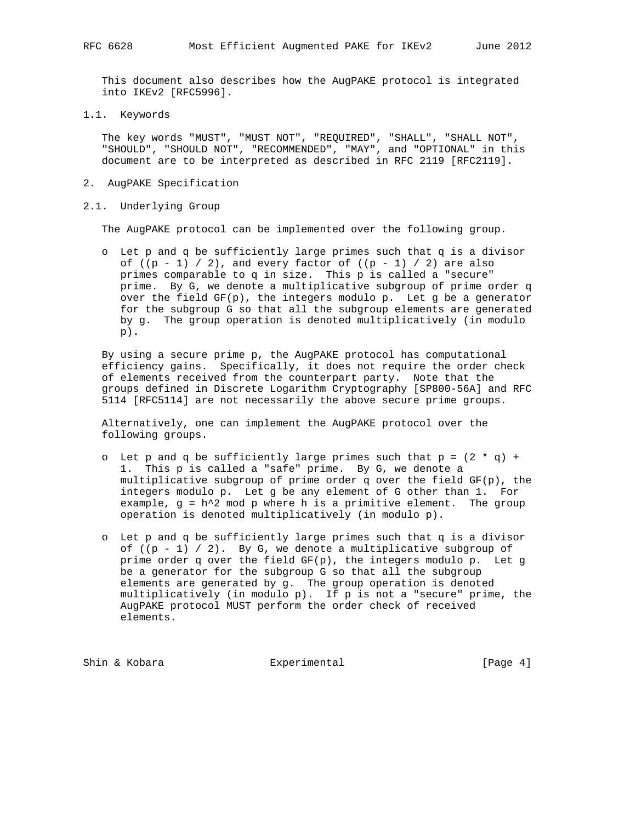This document also describes how the AugPAKE protocol is integrated into IKEv2 [RFC5996].

1.1. Keywords

 The key words "MUST", "MUST NOT", "REQUIRED", "SHALL", "SHALL NOT", "SHOULD", "SHOULD NOT", "RECOMMENDED", "MAY", and "OPTIONAL" in this document are to be interpreted as described in RFC 2119 [RFC2119].

- 2. AugPAKE Specification
- 2.1. Underlying Group

The AugPAKE protocol can be implemented over the following group.

 o Let p and q be sufficiently large primes such that q is a divisor of  $((p - 1) / 2)$ , and every factor of  $((p - 1) / 2)$  are also primes comparable to q in size. This p is called a "secure" prime. By G, we denote a multiplicative subgroup of prime order q over the field  $GF(p)$ , the integers modulo p. Let g be a generator for the subgroup G so that all the subgroup elements are generated by g. The group operation is denoted multiplicatively (in modulo p).

 By using a secure prime p, the AugPAKE protocol has computational efficiency gains. Specifically, it does not require the order check of elements received from the counterpart party. Note that the groups defined in Discrete Logarithm Cryptography [SP800-56A] and RFC 5114 [RFC5114] are not necessarily the above secure prime groups.

 Alternatively, one can implement the AugPAKE protocol over the following groups.

- o Let p and q be sufficiently large primes such that  $p = (2 * q) + q$  1. This p is called a "safe" prime. By G, we denote a multiplicative subgroup of prime order q over the field  $GF(p)$ , the integers modulo p. Let g be any element of G other than 1. For example,  $g = h^2$  mod p where h is a primitive element. The group operation is denoted multiplicatively (in modulo p).
- o Let p and q be sufficiently large primes such that q is a divisor of  $((p - 1) / 2)$ . By G, we denote a multiplicative subgroup of prime order q over the field GF(p), the integers modulo p. Let g be a generator for the subgroup G so that all the subgroup elements are generated by g. The group operation is denoted multiplicatively (in modulo p). If p is not a "secure" prime, the AugPAKE protocol MUST perform the order check of received elements.

Shin & Kobara **Experimental** Experimental [Page 4]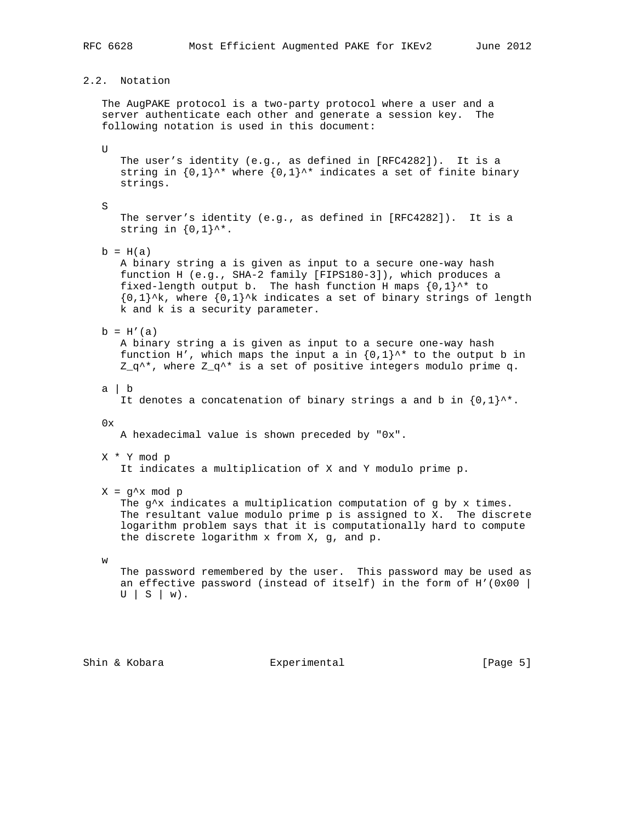2.2. Notation

 The AugPAKE protocol is a two-party protocol where a user and a server authenticate each other and generate a session key. The following notation is used in this document:

 $U$ 

 The user's identity (e.g., as defined in [RFC4282]). It is a string in  $\{0,1\}$ <sup>\*\*</sup> where  $\{0,1\}$ <sup>\*\*</sup> indicates a set of finite binary strings.

S

 The server's identity (e.g., as defined in [RFC4282]). It is a string in  $\{0,1\}$ ^\*.

 $b = H(a)$ 

 A binary string a is given as input to a secure one-way hash function H (e.g., SHA-2 family [FIPS180-3]), which produces a fixed-length output b. The hash function H maps  $\{0,1\}^{\wedge *}$  to  ${0,1}^k$ , where  ${0,1}^k$  indicates a set of binary strings of length k and k is a security parameter.

 $b = H'(a)$ 

 A binary string a is given as input to a secure one-way hash function H', which maps the input a in  $\{0,1\}^{\wedge\star}$  to the output b in  $Z_q^*$ , where  $Z_q^*$  is a set of positive integers modulo prime q.

a | b

It denotes a concatenation of binary strings a and b in  $\{0,1\}$ ^\*.

 $0x$ 

A hexadecimal value is shown preceded by "0x".

X \* Y mod p

It indicates a multiplication of X and Y modulo prime p.

 $X = g^x \mod p$ 

The  $g^x$  indicates a multiplication computation of g by x times. The resultant value modulo prime p is assigned to X. The discrete logarithm problem says that it is computationally hard to compute the discrete logarithm x from X, g, and p.

w

 The password remembered by the user. This password may be used as an effective password (instead of itself) in the form of  $H'(0x00$  |  $U | S | W$ .

Shin & Kobara Experimental [Page 5]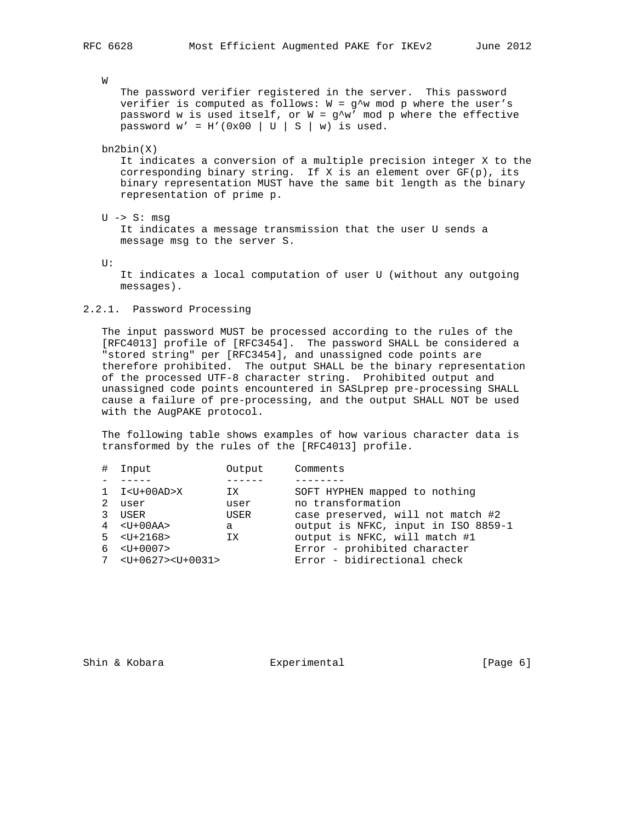W

 The password verifier registered in the server. This password verifier is computed as follows:  $W = g^w$  mod p where the user's password w is used itself, or  $W = g^w w'$  mod p where the effective password  $w' = H'(0x00 \mid U \mid S \mid w)$  is used.

#### bn2bin(X)

 It indicates a conversion of a multiple precision integer X to the corresponding binary string. If X is an element over  $GF(p)$ , its binary representation MUST have the same bit length as the binary representation of prime p.

U -> S: msg

 It indicates a message transmission that the user U sends a message msg to the server S.

 $II:$ 

 It indicates a local computation of user U (without any outgoing messages).

#### 2.2.1. Password Processing

 The input password MUST be processed according to the rules of the [RFC4013] profile of [RFC3454]. The password SHALL be considered a "stored string" per [RFC3454], and unassigned code points are therefore prohibited. The output SHALL be the binary representation of the processed UTF-8 character string. Prohibited output and unassigned code points encountered in SASLprep pre-processing SHALL cause a failure of pre-processing, and the output SHALL NOT be used with the AugPAKE protocol.

 The following table shows examples of how various character data is transformed by the rules of the [RFC4013] profile.

| # | Input                       | Output | Comments                            |
|---|-----------------------------|--------|-------------------------------------|
|   |                             |        |                                     |
|   | $1 \tI < U + 00AD > X$      | IX     | SOFT HYPHEN mapped to nothing       |
| 2 | user                        | user   | no transformation                   |
|   | USER                        | USER   | case preserved, will not match #2   |
|   | $4 \times U + 00A$          | a      | output is NFKC, input in ISO 8859-1 |
|   | $5 \times \text{U} + 2168$  | ΙX     | output is NFKC, will match #1       |
|   | $6 \times \text{UI} + 0007$ |        | Error - prohibited character        |
| 7 | $< U + 0627 > U + 0031 >$   |        | Error - bidirectional check         |
|   |                             |        |                                     |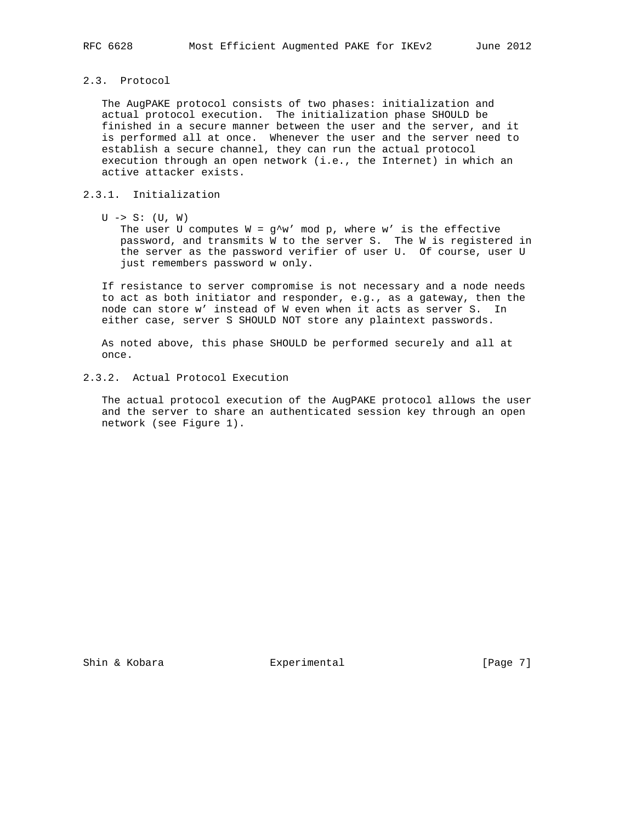2.3. Protocol

 The AugPAKE protocol consists of two phases: initialization and actual protocol execution. The initialization phase SHOULD be finished in a secure manner between the user and the server, and it is performed all at once. Whenever the user and the server need to establish a secure channel, they can run the actual protocol execution through an open network (i.e., the Internet) in which an active attacker exists.

#### 2.3.1. Initialization

 $U \rightarrow S$ :  $(U, W)$ 

The user U computes  $W = g^{\wedge} w'$  mod p, where w' is the effective password, and transmits W to the server S. The W is registered in the server as the password verifier of user U. Of course, user U just remembers password w only.

 If resistance to server compromise is not necessary and a node needs to act as both initiator and responder, e.g., as a gateway, then the node can store w' instead of W even when it acts as server S. In either case, server S SHOULD NOT store any plaintext passwords.

 As noted above, this phase SHOULD be performed securely and all at once.

2.3.2. Actual Protocol Execution

 The actual protocol execution of the AugPAKE protocol allows the user and the server to share an authenticated session key through an open network (see Figure 1).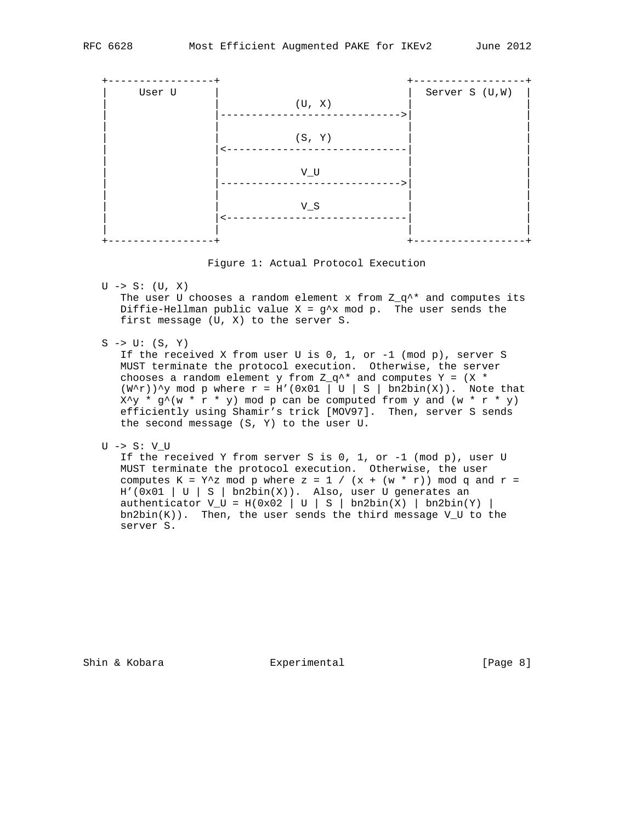

Figure 1: Actual Protocol Execution

 $U \rightarrow S$ :  $(U, X)$ 

The user U chooses a random element x from  $Z_q^*$  and computes its Diffie-Hellman public value  $X = g^x x \mod p$ . The user sends the first message (U, X) to the server S.

 $S \rightarrow U: (S, Y)$ 

 If the received X from user U is 0, 1, or -1 (mod p), server S MUST terminate the protocol execution. Otherwise, the server chooses a random element y from  $Z_q^*$  and computes Y = (X  $*$  $(W^{\wedge}r)$ ) $\wedge$ y mod p where  $r = H'(0x01 \mid U \mid S \mid bn2bin(X))$ . Note that  $X^{\wedge}y$  \* g $^{\wedge}(w$  \* r \* y) mod p can be computed from y and  $(w * r * y)$  efficiently using Shamir's trick [MOV97]. Then, server S sends the second message (S, Y) to the user U.

U -> S: V\_U

If the received Y from server S is 0, 1, or  $-1$  (mod p), user U MUST terminate the protocol execution. Otherwise, the user computes K = Y<sup>^</sup>z mod p where z = 1 / (x + (w \* r)) mod q and r =  $H'(\overline{0x01} \mid U \mid S \mid bn2bin(X))$ . Also, user U generates an authenticator  $V_U = H(0x02 | U | S | b n2b in(X) | b n2b in(Y) |$  $bn2bin(K)$ ). Then, the user sends the third message V\_U to the server S.

Shin & Kobara **Experimental** Experimental [Page 8]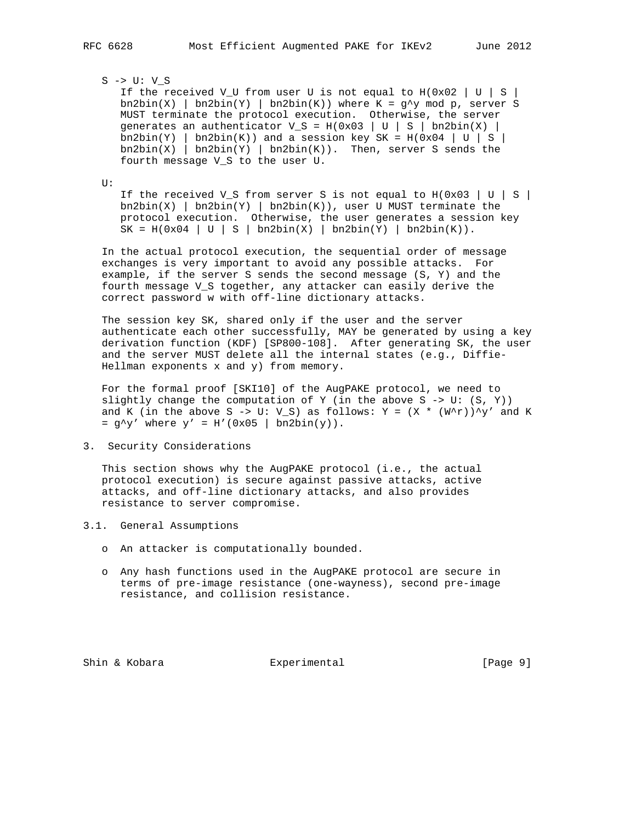# S -> U: V\_S

If the received V\_U from user U is not equal to  $H(0x02 | U | S)$  $bn2bin(X)$  |  $bn2bin(Y)$  |  $bn2bin(K)$ ) where K = g<sup>^</sup>y mod p, server S MUST terminate the protocol execution. Otherwise, the server generates an authenticator  $V_S = H(0x03 | U | S | bnd)$  $bn2bin(Y)$  |  $bn2bin(K)$  and a session key SK = H(0x04 | U | S |  $bn2bin(X)$  |  $bn2bin(Y)$  |  $bn2bin(K)$ ). Then, server S sends the fourth message V\_S to the user U.

U:

If the received V\_S from server S is not equal to  $H(0x03 | U | S)$  $bn2bin(X)$  |  $bn2bin(Y)$  |  $bn2bin(K)$ ), user U MUST terminate the protocol execution. Otherwise, the user generates a session key  $SK = H(0x04 | U | S | bn2bin(X) | bn2bin(Y) | bn2bin(K)).$ 

 In the actual protocol execution, the sequential order of message exchanges is very important to avoid any possible attacks. For example, if the server S sends the second message (S, Y) and the fourth message V\_S together, any attacker can easily derive the correct password w with off-line dictionary attacks.

 The session key SK, shared only if the user and the server authenticate each other successfully, MAY be generated by using a key derivation function (KDF) [SP800-108]. After generating SK, the user and the server MUST delete all the internal states (e.g., Diffie- Hellman exponents x and y) from memory.

 For the formal proof [SKI10] of the AugPAKE protocol, we need to slightly change the computation of Y (in the above S  $\rightarrow$  U: (S, Y)) and K (in the above S -> U: V\_S) as follows: Y =  $(X * (W^r))^y'$  and K  $= q^y'$  where  $y' = H'(0x05 | bnd)$ .

3. Security Considerations

 This section shows why the AugPAKE protocol (i.e., the actual protocol execution) is secure against passive attacks, active attacks, and off-line dictionary attacks, and also provides resistance to server compromise.

- 3.1. General Assumptions
	- o An attacker is computationally bounded.
	- o Any hash functions used in the AugPAKE protocol are secure in terms of pre-image resistance (one-wayness), second pre-image resistance, and collision resistance.

Shin & Kobara **Experimental** Experimental [Page 9]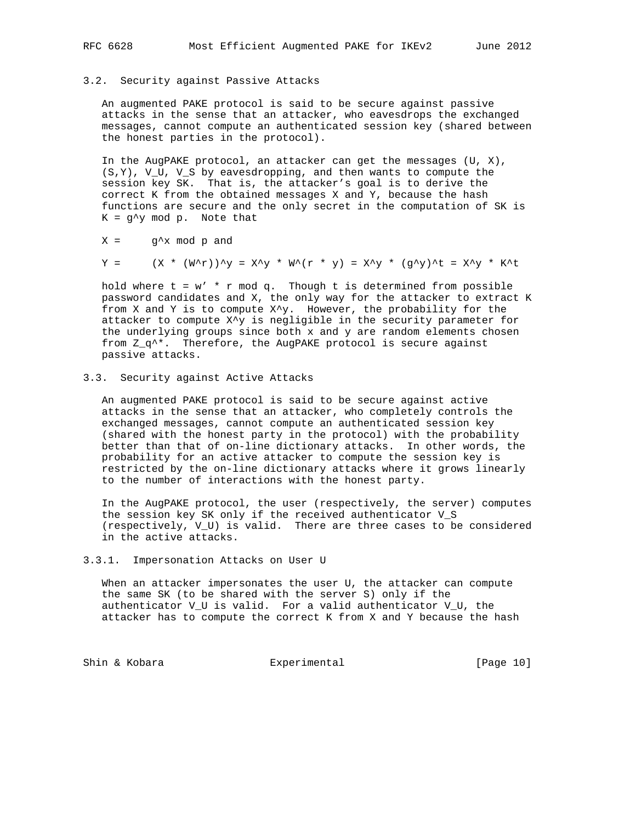### 3.2. Security against Passive Attacks

 An augmented PAKE protocol is said to be secure against passive attacks in the sense that an attacker, who eavesdrops the exchanged messages, cannot compute an authenticated session key (shared between the honest parties in the protocol).

 In the AugPAKE protocol, an attacker can get the messages (U, X), (S,Y), V\_U, V\_S by eavesdropping, and then wants to compute the session key SK. That is, the attacker's goal is to derive the correct K from the obtained messages X and Y, because the hash functions are secure and the only secret in the computation of SK is  $K = g^{\wedge}y \mod p$ . Note that

 $X = g^x \mod p$  and

$$
Y = (X * (W^*Y))^*Y = X^*Y * W^*(Y * Y) = X^*Y * (g^*Y)^*E = X^*Y * K^*E
$$

hold where  $t = w' * r \mod q$ . Though  $t$  is determined from possible password candidates and X, the only way for the attacker to extract K from X and Y is to compute X^y. However, the probability for the attacker to compute X^y is negligible in the security parameter for the underlying groups since both x and y are random elements chosen from  $Z_q^*$ . Therefore, the AugPAKE protocol is secure against passive attacks.

3.3. Security against Active Attacks

 An augmented PAKE protocol is said to be secure against active attacks in the sense that an attacker, who completely controls the exchanged messages, cannot compute an authenticated session key (shared with the honest party in the protocol) with the probability better than that of on-line dictionary attacks. In other words, the probability for an active attacker to compute the session key is restricted by the on-line dictionary attacks where it grows linearly to the number of interactions with the honest party.

 In the AugPAKE protocol, the user (respectively, the server) computes the session key SK only if the received authenticator V\_S (respectively, V\_U) is valid. There are three cases to be considered in the active attacks.

#### 3.3.1. Impersonation Attacks on User U

 When an attacker impersonates the user U, the attacker can compute the same SK (to be shared with the server S) only if the authenticator V\_U is valid. For a valid authenticator V\_U, the attacker has to compute the correct K from X and Y because the hash

Shin & Kobara **Experimental** Experimental [Page 10]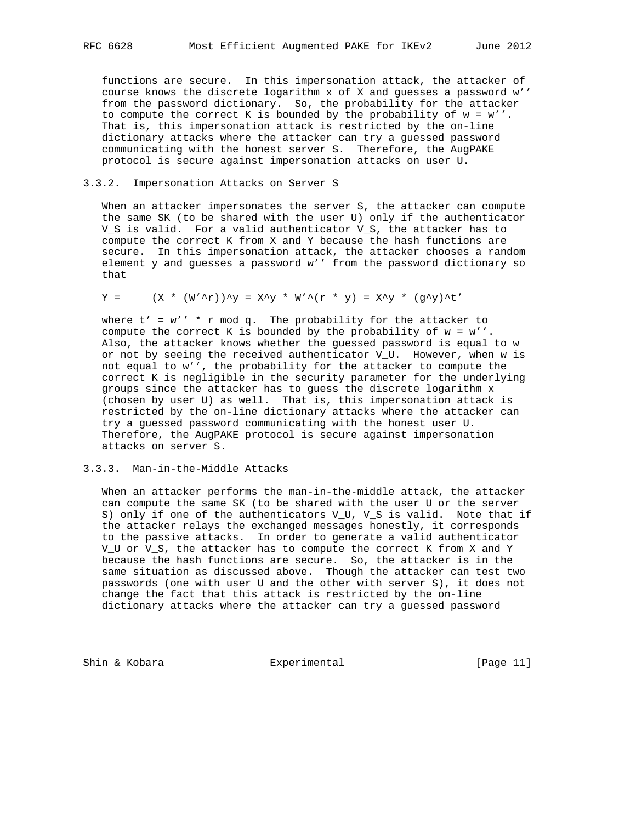functions are secure. In this impersonation attack, the attacker of course knows the discrete logarithm x of X and guesses a password w'' from the password dictionary. So, the probability for the attacker to compute the correct K is bounded by the probability of  $w = w'$ . That is, this impersonation attack is restricted by the on-line dictionary attacks where the attacker can try a guessed password communicating with the honest server S. Therefore, the AugPAKE protocol is secure against impersonation attacks on user U.

## 3.3.2. Impersonation Attacks on Server S

 When an attacker impersonates the server S, the attacker can compute the same SK (to be shared with the user U) only if the authenticator V\_S is valid. For a valid authenticator V\_S, the attacker has to compute the correct K from X and Y because the hash functions are secure. In this impersonation attack, the attacker chooses a random element y and guesses a password w'' from the password dictionary so that

$$
Y = (X * (W'^r))^y = X^y * W'^r + Y = X^y * (g^y)^t'
$$

where  $t' = w'$  \* r mod q. The probability for the attacker to compute the correct K is bounded by the probability of  $w = w'$ . Also, the attacker knows whether the guessed password is equal to w or not by seeing the received authenticator V\_U. However, when w is not equal to w'', the probability for the attacker to compute the correct K is negligible in the security parameter for the underlying groups since the attacker has to guess the discrete logarithm x (chosen by user U) as well. That is, this impersonation attack is restricted by the on-line dictionary attacks where the attacker can try a guessed password communicating with the honest user U. Therefore, the AugPAKE protocol is secure against impersonation attacks on server S.

## 3.3.3. Man-in-the-Middle Attacks

When an attacker performs the man-in-the-middle attack, the attacker can compute the same SK (to be shared with the user U or the server S) only if one of the authenticators V\_U, V\_S is valid. Note that if the attacker relays the exchanged messages honestly, it corresponds to the passive attacks. In order to generate a valid authenticator V\_U or V\_S, the attacker has to compute the correct K from X and Y because the hash functions are secure. So, the attacker is in the same situation as discussed above. Though the attacker can test two passwords (one with user U and the other with server S), it does not change the fact that this attack is restricted by the on-line dictionary attacks where the attacker can try a guessed password

Shin & Kobara **Experimental** Experimental [Page 11]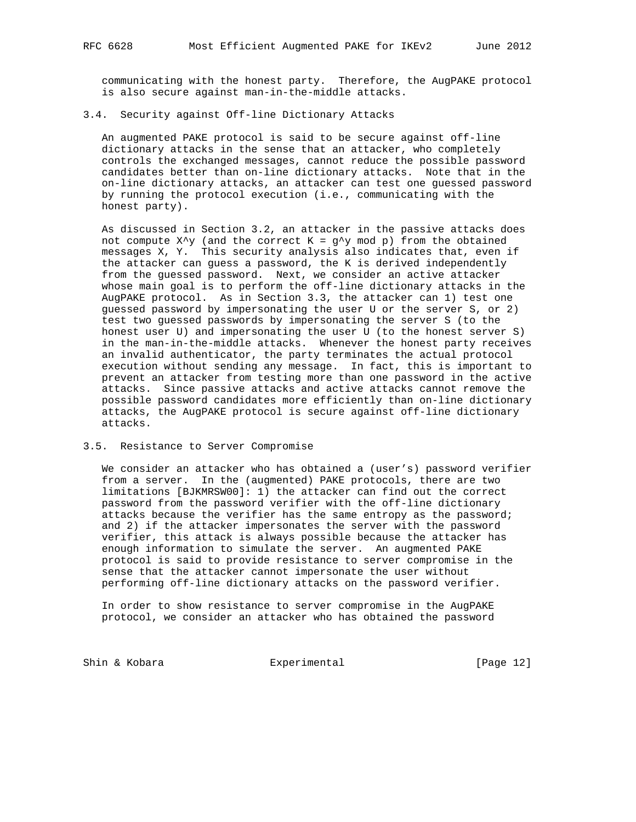communicating with the honest party. Therefore, the AugPAKE protocol is also secure against man-in-the-middle attacks.

### 3.4. Security against Off-line Dictionary Attacks

 An augmented PAKE protocol is said to be secure against off-line dictionary attacks in the sense that an attacker, who completely controls the exchanged messages, cannot reduce the possible password candidates better than on-line dictionary attacks. Note that in the on-line dictionary attacks, an attacker can test one guessed password by running the protocol execution (i.e., communicating with the honest party).

 As discussed in Section 3.2, an attacker in the passive attacks does not compute  $X^{\wedge}y$  (and the correct  $K = g^{\wedge}y$  mod p) from the obtained messages X, Y. This security analysis also indicates that, even if the attacker can guess a password, the K is derived independently from the guessed password. Next, we consider an active attacker whose main goal is to perform the off-line dictionary attacks in the AugPAKE protocol. As in Section 3.3, the attacker can 1) test one guessed password by impersonating the user U or the server S, or 2) test two guessed passwords by impersonating the server S (to the honest user U) and impersonating the user U (to the honest server S) in the man-in-the-middle attacks. Whenever the honest party receives an invalid authenticator, the party terminates the actual protocol execution without sending any message. In fact, this is important to prevent an attacker from testing more than one password in the active attacks. Since passive attacks and active attacks cannot remove the possible password candidates more efficiently than on-line dictionary attacks, the AugPAKE protocol is secure against off-line dictionary attacks.

#### 3.5. Resistance to Server Compromise

 We consider an attacker who has obtained a (user's) password verifier from a server. In the (augmented) PAKE protocols, there are two limitations [BJKMRSW00]: 1) the attacker can find out the correct password from the password verifier with the off-line dictionary attacks because the verifier has the same entropy as the password; and 2) if the attacker impersonates the server with the password verifier, this attack is always possible because the attacker has enough information to simulate the server. An augmented PAKE protocol is said to provide resistance to server compromise in the sense that the attacker cannot impersonate the user without performing off-line dictionary attacks on the password verifier.

 In order to show resistance to server compromise in the AugPAKE protocol, we consider an attacker who has obtained the password

Shin & Kobara **Experimental** Experimental [Page 12]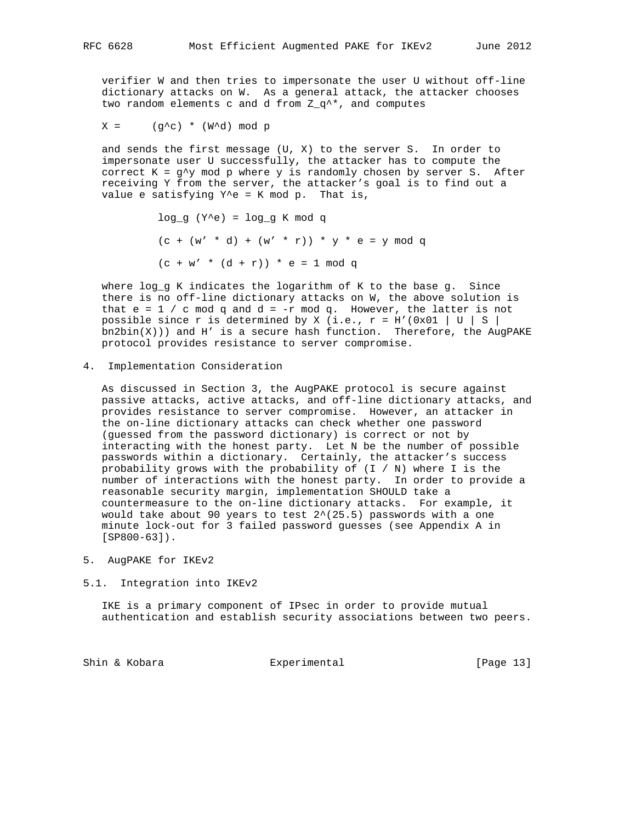verifier W and then tries to impersonate the user U without off-line dictionary attacks on W. As a general attack, the attacker chooses two random elements c and d from  $Z_q^*$ , and computes

 $X = (g^c)^* (W^d) \mod p$ 

 and sends the first message (U, X) to the server S. In order to impersonate user U successfully, the attacker has to compute the correct  $K = g^{\wedge}y$  mod p where y is randomly chosen by server S. After receiving Y from the server, the attacker's goal is to find out a value e satisfying  $Y^e = K \mod p$ . That is,

> log q  $(Y^e) = \log q K \mod q$  $(c + (w' * d) + (w' * r)) * y * e = y \mod q$  $(c + w' * (d + r)) * e = 1 \mod q$

 where log\_g K indicates the logarithm of K to the base g. Since there is no off-line dictionary attacks on W, the above solution is that  $e = 1 / c$  mod q and  $d = -r$  mod q. However, the latter is not possible since r is determined by X (i.e.,  $r = H'(0x01 | U | S)$  $bn2bin(X))$  and H' is a secure hash function. Therefore, the AugPAKE protocol provides resistance to server compromise.

4. Implementation Consideration

 As discussed in Section 3, the AugPAKE protocol is secure against passive attacks, active attacks, and off-line dictionary attacks, and provides resistance to server compromise. However, an attacker in the on-line dictionary attacks can check whether one password (guessed from the password dictionary) is correct or not by interacting with the honest party. Let N be the number of possible passwords within a dictionary. Certainly, the attacker's success probability grows with the probability of  $(I / N)$  where I is the number of interactions with the honest party. In order to provide a reasonable security margin, implementation SHOULD take a countermeasure to the on-line dictionary attacks. For example, it would take about 90 years to test  $2^*(25.5)$  passwords with a one minute lock-out for 3 failed password guesses (see Appendix A in [SP800-63]).

- 5. AugPAKE for IKEv2
- 5.1. Integration into IKEv2

 IKE is a primary component of IPsec in order to provide mutual authentication and establish security associations between two peers.

Shin & Kobara **Experimental** Experimental [Page 13]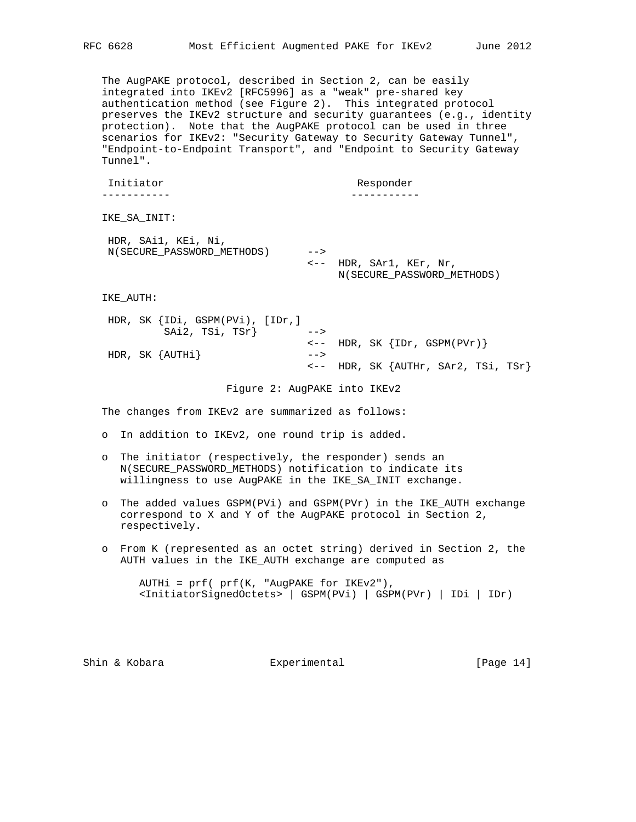The AugPAKE protocol, described in Section 2, can be easily integrated into IKEv2 [RFC5996] as a "weak" pre-shared key authentication method (see Figure 2). This integrated protocol preserves the IKEv2 structure and security guarantees (e.g., identity protection). Note that the AugPAKE protocol can be used in three scenarios for IKEv2: "Security Gateway to Security Gateway Tunnel", "Endpoint-to-Endpoint Transport", and "Endpoint to Security Gateway Tunnel". Initiator Responder ----------- ----------- IKE\_SA\_INIT: HDR, SAi1, KEi, Ni,

 N(SECURE\_PASSWORD\_METHODS) --> <-- HDR, SAr1, KEr, Nr, N(SECURE\_PASSWORD\_METHODS)

IKE\_AUTH:

 HDR, SK {IDi, GSPM(PVi), [IDr,] SAi2, TSi, TSr}  $\leftarrow$  $\leftarrow -$  HDR, SK  $\{IDr, GSPM(PVr)\}$  HDR, SK {AUTHi} --> <-- HDR, SK {AUTHr, SAr2, TSi, TSr}

Figure 2: AugPAKE into IKEv2

The changes from IKEv2 are summarized as follows:

- o In addition to IKEv2, one round trip is added.
- o The initiator (respectively, the responder) sends an N(SECURE\_PASSWORD\_METHODS) notification to indicate its willingness to use AugPAKE in the IKE\_SA\_INIT exchange.
- o The added values GSPM(PVi) and GSPM(PVr) in the IKE\_AUTH exchange correspond to X and Y of the AugPAKE protocol in Section 2, respectively.
- o From K (represented as an octet string) derived in Section 2, the AUTH values in the IKE\_AUTH exchange are computed as

 AUTHi = prf( prf(K, "AugPAKE for IKEv2"), <InitiatorSignedOctets> | GSPM(PVi) | GSPM(PVr) | IDi | IDr)

Shin & Kobara **Experimental** Experimental [Page 14]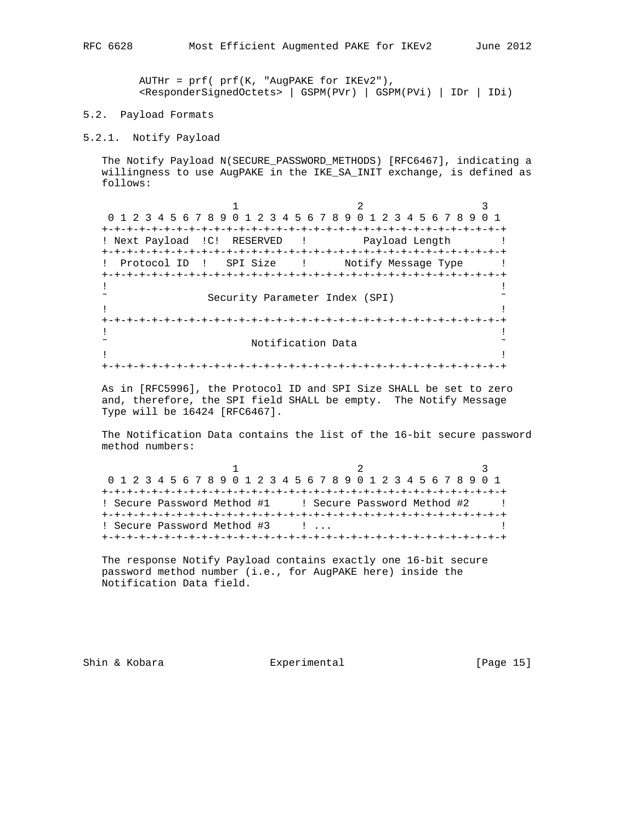AUTHr = prf( prf(K, "AugPAKE for IKEv2"), <ResponderSignedOctets> | GSPM(PVr) | GSPM(PVi) | IDr | IDi)

5.2. Payload Formats

5.2.1. Notify Payload

 The Notify Payload N(SECURE\_PASSWORD\_METHODS) [RFC6467], indicating a willingness to use AugPAKE in the IKE\_SA\_INIT exchange, is defined as follows:

1 2 3 0 1 2 3 4 5 6 7 8 9 0 1 2 3 4 5 6 7 8 9 0 1 2 3 4 5 6 7 8 9 0 1 +-+-+-+-+-+-+-+-+-+-+-+-+-+-+-+-+-+-+-+-+-+-+-+-+-+-+-+-+-+-+-+-+ ! Next Payload ! C! RESERVED ! Payload Length ! +-+-+-+-+-+-+-+-+-+-+-+-+-+-+-+-+-+-+-+-+-+-+-+-+-+-+-+-+-+-+-+-+ ! Protocol ID ! SPI Size ! Notify Message Type ! +-+-+-+-+-+-+-+-+-+-+-+-+-+-+-+-+-+-+-+-+-+-+-+-+-+-+-+-+-+-+-+-+ **1** If the contract the contract of the contract of the contract of the contract of the contract of the contract of the contract of the contract of the contract of the contract of the contract of the contract of the contra Security Parameter Index (SPI)  $\sim$ **1** If the contract the contract of the contract of the contract of the contract of the contract of the contract of the contract of the contract of the contract of the contract of the contract of the contract of the contra +-+-+-+-+-+-+-+-+-+-+-+-+-+-+-+-+-+-+-+-+-+-+-+-+-+-+-+-+-+-+-+-+ **1** If the contract the contract of the contract of the contract of the contract of the contract of the contract of the contract of the contract of the contract of the contract of the contract of the contract of the contra Notification Data  $\sim$ **1** If the contract the contract of the contract of the contract of the contract of the contract of the contract of the contract of the contract of the contract of the contract of the contract of the contract of the contra +-+-+-+-+-+-+-+-+-+-+-+-+-+-+-+-+-+-+-+-+-+-+-+-+-+-+-+-+-+-+-+-+

 As in [RFC5996], the Protocol ID and SPI Size SHALL be set to zero and, therefore, the SPI field SHALL be empty. The Notify Message Type will be 16424 [RFC6467].

 The Notification Data contains the list of the 16-bit secure password method numbers:

| 0 1 2 3 4 5 6 7 8 9 0 1 2 3 4 5 6 7 8 9 0 1 2 3 4 5 6 7 8 9 0 1 |                                 |  |
|-----------------------------------------------------------------|---------------------------------|--|
|                                                                 |                                 |  |
| ! Secure Password Method #1 [ ] Secure Password Method #2       |                                 |  |
|                                                                 |                                 |  |
| ! Secure Password Method #3                                     | the contract of the contract of |  |
|                                                                 |                                 |  |

 The response Notify Payload contains exactly one 16-bit secure password method number (i.e., for AugPAKE here) inside the Notification Data field.

Shin & Kobara **Experimental** Experimental [Page 15]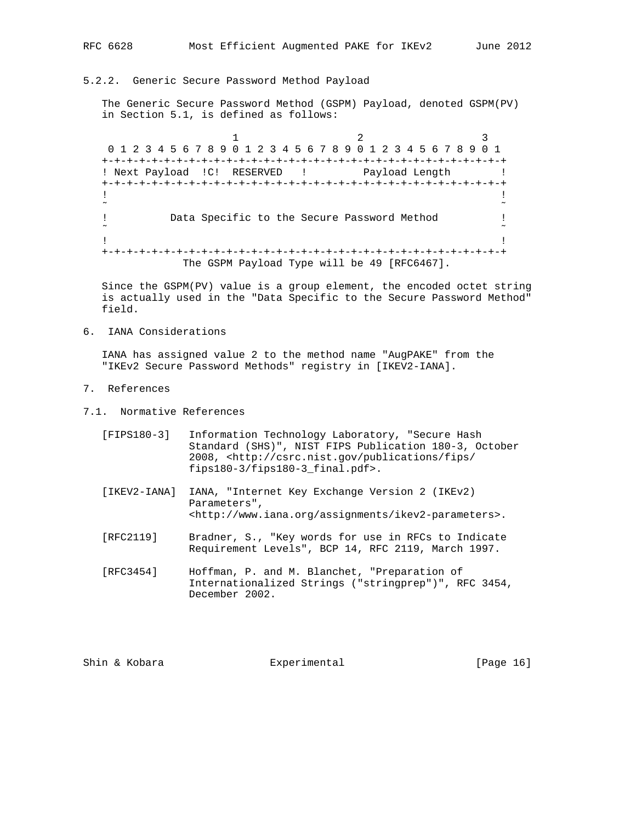# 5.2.2. Generic Secure Password Method Payload

 The Generic Secure Password Method (GSPM) Payload, denoted GSPM(PV) in Section 5.1, is defined as follows:

1 2 3 0 1 2 3 4 5 6 7 8 9 0 1 2 3 4 5 6 7 8 9 0 1 2 3 4 5 6 7 8 9 0 1 +-+-+-+-+-+-+-+-+-+-+-+-+-+-+-+-+-+-+-+-+-+-+-+-+-+-+-+-+-+-+-+-+ ! Next Payload ! C! RESERVED ! Payload Length ! +-+-+-+-+-+-+-+-+-+-+-+-+-+-+-+-+-+-+-+-+-+-+-+-+-+-+-+-+-+-+-+-+ **1** If the contract the contract of the contract of the contract of the contract of the contract of the contract of the contract of the contract of the contract of the contract of the contract of the contract of the contra ˜ ˜ ! Data Specific to the Secure Password Method ! ˜ ˜ **1** If the contract the contract of the contract of the contract of the contract of the contract of the contract of the contract of the contract of the contract of the contract of the contract of the contract of the contra +-+-+-+-+-+-+-+-+-+-+-+-+-+-+-+-+-+-+-+-+-+-+-+-+-+-+-+-+-+-+-+-+ The GSPM Payload Type will be 49 [RFC6467].

 Since the GSPM(PV) value is a group element, the encoded octet string is actually used in the "Data Specific to the Secure Password Method" field.

6. IANA Considerations

 IANA has assigned value 2 to the method name "AugPAKE" from the "IKEv2 Secure Password Methods" registry in [IKEV2-IANA].

- 7. References
- 7.1. Normative References
	- [FIPS180-3] Information Technology Laboratory, "Secure Hash Standard (SHS)", NIST FIPS Publication 180-3, October 2008, <http://csrc.nist.gov/publications/fips/ fips180-3/fips180-3\_final.pdf>.
	- [IKEV2-IANA] IANA, "Internet Key Exchange Version 2 (IKEv2) Parameters", <http://www.iana.org/assignments/ikev2-parameters>.
	- [RFC2119] Bradner, S., "Key words for use in RFCs to Indicate Requirement Levels", BCP 14, RFC 2119, March 1997.
	- [RFC3454] Hoffman, P. and M. Blanchet, "Preparation of Internationalized Strings ("stringprep")", RFC 3454, December 2002.

Shin & Kobara **Experimental** Experimental [Page 16]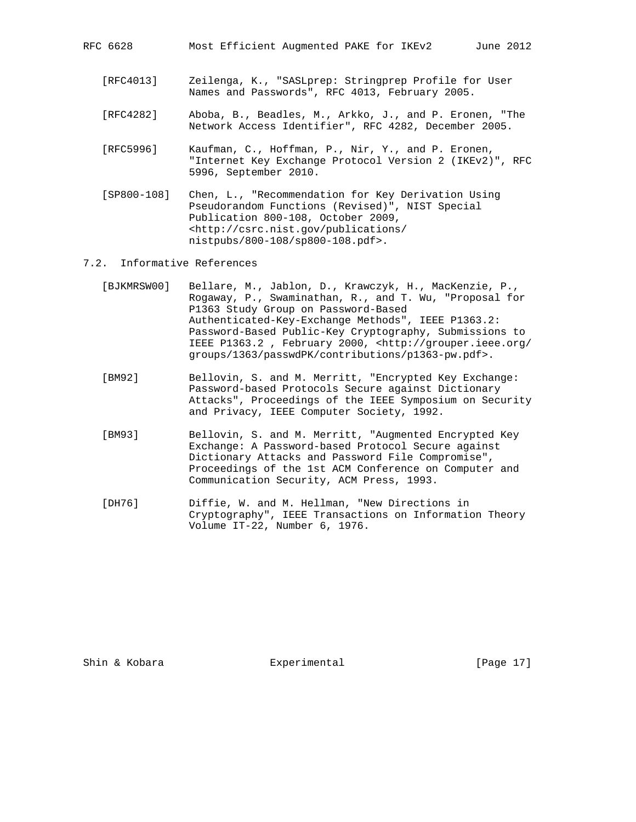- [RFC4013] Zeilenga, K., "SASLprep: Stringprep Profile for User Names and Passwords", RFC 4013, February 2005.
- [RFC4282] Aboba, B., Beadles, M., Arkko, J., and P. Eronen, "The Network Access Identifier", RFC 4282, December 2005.
- [RFC5996] Kaufman, C., Hoffman, P., Nir, Y., and P. Eronen, "Internet Key Exchange Protocol Version 2 (IKEv2)", RFC 5996, September 2010.
- [SP800-108] Chen, L., "Recommendation for Key Derivation Using Pseudorandom Functions (Revised)", NIST Special Publication 800-108, October 2009, <http://csrc.nist.gov/publications/ nistpubs/800-108/sp800-108.pdf>.

## 7.2. Informative References

- [BJKMRSW00] Bellare, M., Jablon, D., Krawczyk, H., MacKenzie, P., Rogaway, P., Swaminathan, R., and T. Wu, "Proposal for P1363 Study Group on Password-Based Authenticated-Key-Exchange Methods", IEEE P1363.2: Password-Based Public-Key Cryptography, Submissions to IEEE P1363.2 , February 2000, <http://grouper.ieee.org/ groups/1363/passwdPK/contributions/p1363-pw.pdf>.
- [BM92] Bellovin, S. and M. Merritt, "Encrypted Key Exchange: Password-based Protocols Secure against Dictionary Attacks", Proceedings of the IEEE Symposium on Security and Privacy, IEEE Computer Society, 1992.
- [BM93] Bellovin, S. and M. Merritt, "Augmented Encrypted Key Exchange: A Password-based Protocol Secure against Dictionary Attacks and Password File Compromise", Proceedings of the 1st ACM Conference on Computer and Communication Security, ACM Press, 1993.
- [DH76] Diffie, W. and M. Hellman, "New Directions in Cryptography", IEEE Transactions on Information Theory Volume IT-22, Number 6, 1976.

Shin & Kobara Experimental [Page 17]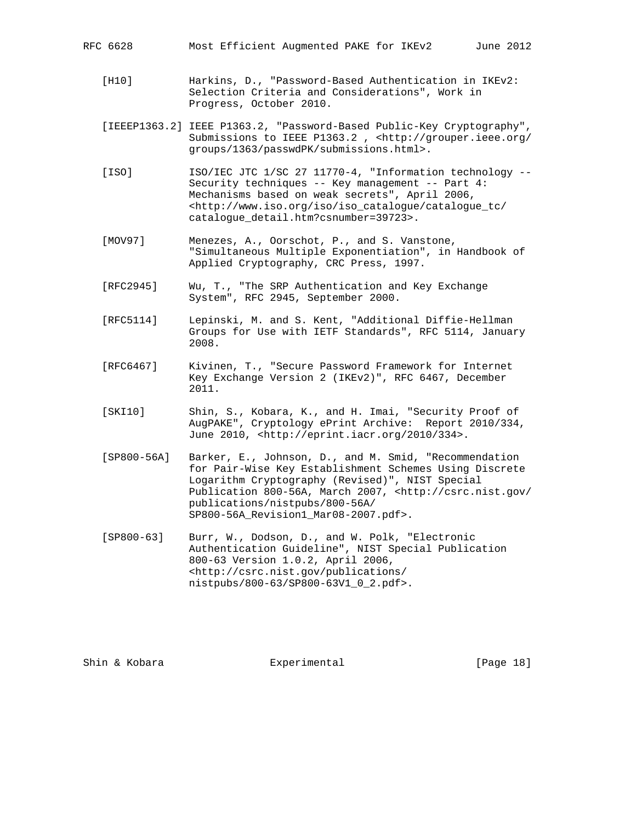- [H10] Harkins, D., "Password-Based Authentication in IKEv2: Selection Criteria and Considerations", Work in Progress, October 2010.
- [IEEEP1363.2] IEEE P1363.2, "Password-Based Public-Key Cryptography", Submissions to IEEE P1363.2 , <http://grouper.ieee.org/ groups/1363/passwdPK/submissions.html>.
- [ISO] ISO/IEC JTC 1/SC 27 11770-4, "Information technology -- Security techniques -- Key management -- Part 4: Mechanisms based on weak secrets", April 2006, <http://www.iso.org/iso/iso\_catalogue/catalogue\_tc/ catalogue\_detail.htm?csnumber=39723>.
- [MOV97] Menezes, A., Oorschot, P., and S. Vanstone, "Simultaneous Multiple Exponentiation", in Handbook of Applied Cryptography, CRC Press, 1997.
- [RFC2945] Wu, T., "The SRP Authentication and Key Exchange System", RFC 2945, September 2000.
- [RFC5114] Lepinski, M. and S. Kent, "Additional Diffie-Hellman Groups for Use with IETF Standards", RFC 5114, January 2008.
- [RFC6467] Kivinen, T., "Secure Password Framework for Internet Key Exchange Version 2 (IKEv2)", RFC 6467, December 2011.
- [SKI10] Shin, S., Kobara, K., and H. Imai, "Security Proof of AugPAKE", Cryptology ePrint Archive: Report 2010/334, June 2010, <http://eprint.iacr.org/2010/334>.
- [SP800-56A] Barker, E., Johnson, D., and M. Smid, "Recommendation for Pair-Wise Key Establishment Schemes Using Discrete Logarithm Cryptography (Revised)", NIST Special Publication 800-56A, March 2007, <http://csrc.nist.gov/ publications/nistpubs/800-56A/ SP800-56A\_Revision1\_Mar08-2007.pdf>.
- [SP800-63] Burr, W., Dodson, D., and W. Polk, "Electronic Authentication Guideline", NIST Special Publication 800-63 Version 1.0.2, April 2006, <http://csrc.nist.gov/publications/ nistpubs/800-63/SP800-63V1\_0\_2.pdf>.

Shin & Kobara Experimental [Page 18]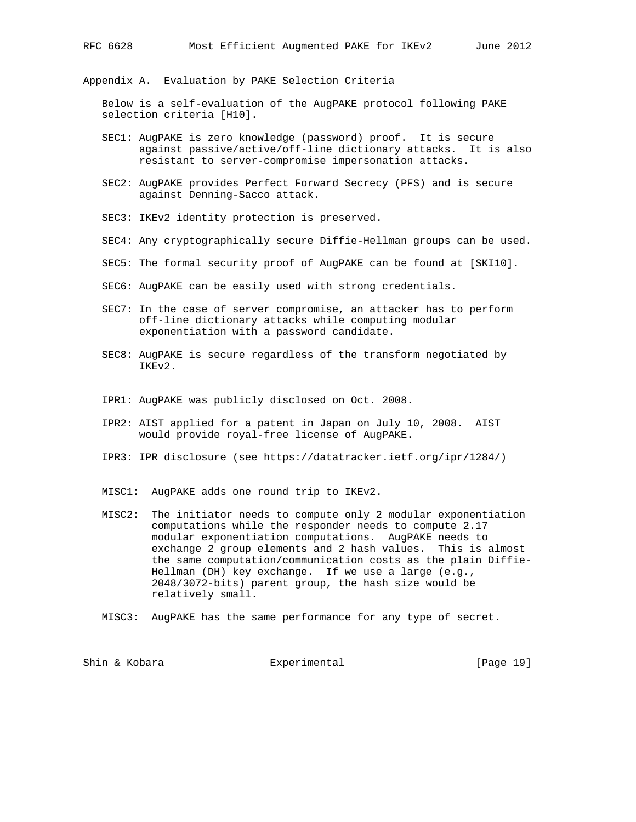Appendix A. Evaluation by PAKE Selection Criteria

 Below is a self-evaluation of the AugPAKE protocol following PAKE selection criteria [H10].

- SEC1: AugPAKE is zero knowledge (password) proof. It is secure against passive/active/off-line dictionary attacks. It is also resistant to server-compromise impersonation attacks.
- SEC2: AugPAKE provides Perfect Forward Secrecy (PFS) and is secure against Denning-Sacco attack.
- SEC3: IKEv2 identity protection is preserved.
- SEC4: Any cryptographically secure Diffie-Hellman groups can be used.
- SEC5: The formal security proof of AugPAKE can be found at [SKI10].
- SEC6: AugPAKE can be easily used with strong credentials.
- SEC7: In the case of server compromise, an attacker has to perform off-line dictionary attacks while computing modular exponentiation with a password candidate.
- SEC8: AugPAKE is secure regardless of the transform negotiated by IKEv2.
- IPR1: AugPAKE was publicly disclosed on Oct. 2008.
- IPR2: AIST applied for a patent in Japan on July 10, 2008. AIST would provide royal-free license of AugPAKE.
- IPR3: IPR disclosure (see https://datatracker.ietf.org/ipr/1284/)
- MISC1: AugPAKE adds one round trip to IKEv2.
- MISC2: The initiator needs to compute only 2 modular exponentiation computations while the responder needs to compute 2.17 modular exponentiation computations. AugPAKE needs to exchange 2 group elements and 2 hash values. This is almost the same computation/communication costs as the plain Diffie- Hellman (DH) key exchange. If we use a large (e.g., 2048/3072-bits) parent group, the hash size would be relatively small.
- MISC3: AugPAKE has the same performance for any type of secret.

Shin & Kobara Experimental [Page 19]